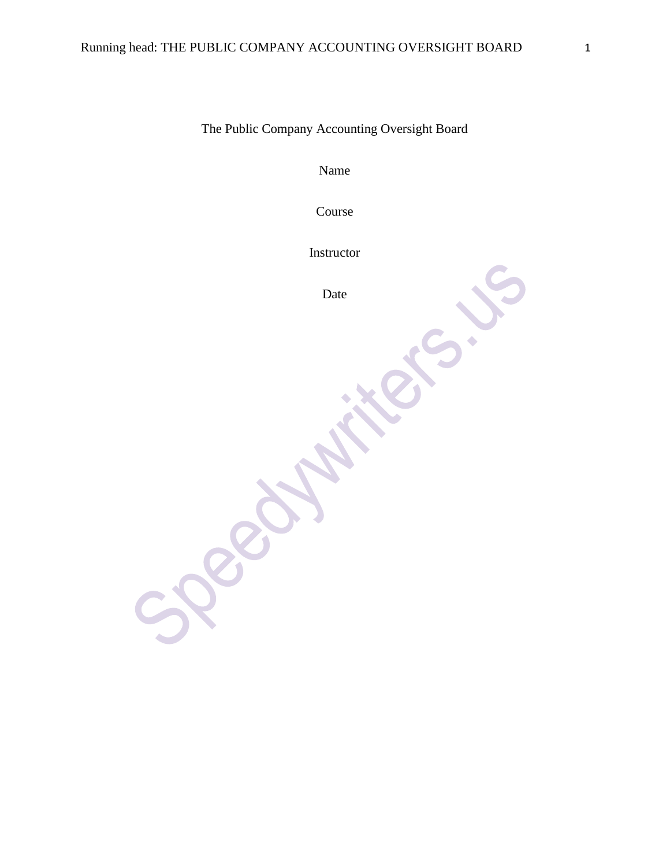The Public Company Accounting Oversight Board

Name

Course

Instructor

Date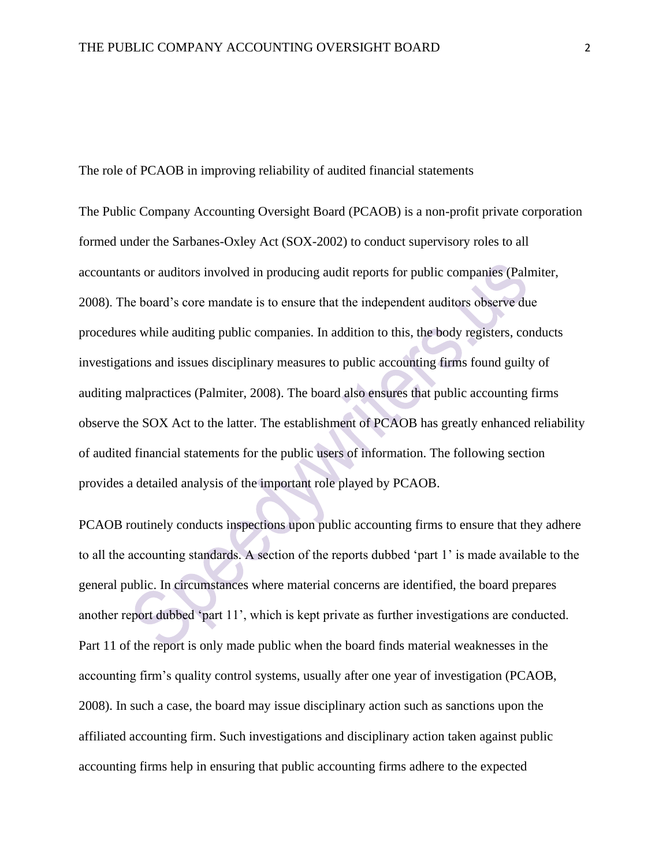The role of PCAOB in improving reliability of audited financial statements

The Public Company Accounting Oversight Board (PCAOB) is a non-profit private corporation formed under the Sarbanes-Oxley Act (SOX-2002) to conduct supervisory roles to all accountants or auditors involved in producing audit reports for public companies (Palmiter, 2008). The board's core mandate is to ensure that the independent auditors observe due procedures while auditing public companies. In addition to this, the body registers, conducts investigations and issues disciplinary measures to public accounting firms found guilty of auditing malpractices (Palmiter, 2008). The board also ensures that public accounting firms observe the SOX Act to the latter. The establishment of PCAOB has greatly enhanced reliability of audited financial statements for the public users of information. The following section provides a detailed analysis of the important role played by PCAOB.

PCAOB routinely conducts inspections upon public accounting firms to ensure that they adhere to all the accounting standards. A section of the reports dubbed 'part 1' is made available to the general public. In circumstances where material concerns are identified, the board prepares another report dubbed 'part 11', which is kept private as further investigations are conducted. Part 11 of the report is only made public when the board finds material weaknesses in the accounting firm's quality control systems, usually after one year of investigation (PCAOB, 2008). In such a case, the board may issue disciplinary action such as sanctions upon the affiliated accounting firm. Such investigations and disciplinary action taken against public accounting firms help in ensuring that public accounting firms adhere to the expected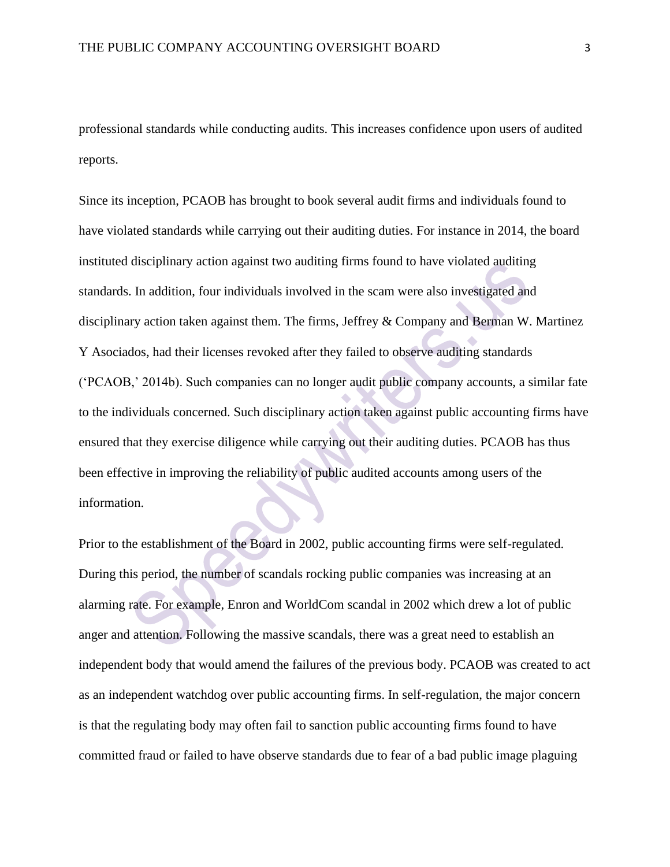professional standards while conducting audits. This increases confidence upon users of audited reports.

Since its inception, PCAOB has brought to book several audit firms and individuals found to have violated standards while carrying out their auditing duties. For instance in 2014, the board instituted disciplinary action against two auditing firms found to have violated auditing standards. In addition, four individuals involved in the scam were also investigated and disciplinary action taken against them. The firms, Jeffrey & Company and Berman W. Martinez Y Asociados, had their licenses revoked after they failed to observe auditing standards ('PCAOB,' 2014b). Such companies can no longer audit public company accounts, a similar fate to the individuals concerned. Such disciplinary action taken against public accounting firms have ensured that they exercise diligence while carrying out their auditing duties. PCAOB has thus been effective in improving the reliability of public audited accounts among users of the information.

Prior to the establishment of the Board in 2002, public accounting firms were self-regulated. During this period, the number of scandals rocking public companies was increasing at an alarming rate. For example, Enron and WorldCom scandal in 2002 which drew a lot of public anger and attention. Following the massive scandals, there was a great need to establish an independent body that would amend the failures of the previous body. PCAOB was created to act as an independent watchdog over public accounting firms. In self-regulation, the major concern is that the regulating body may often fail to sanction public accounting firms found to have committed fraud or failed to have observe standards due to fear of a bad public image plaguing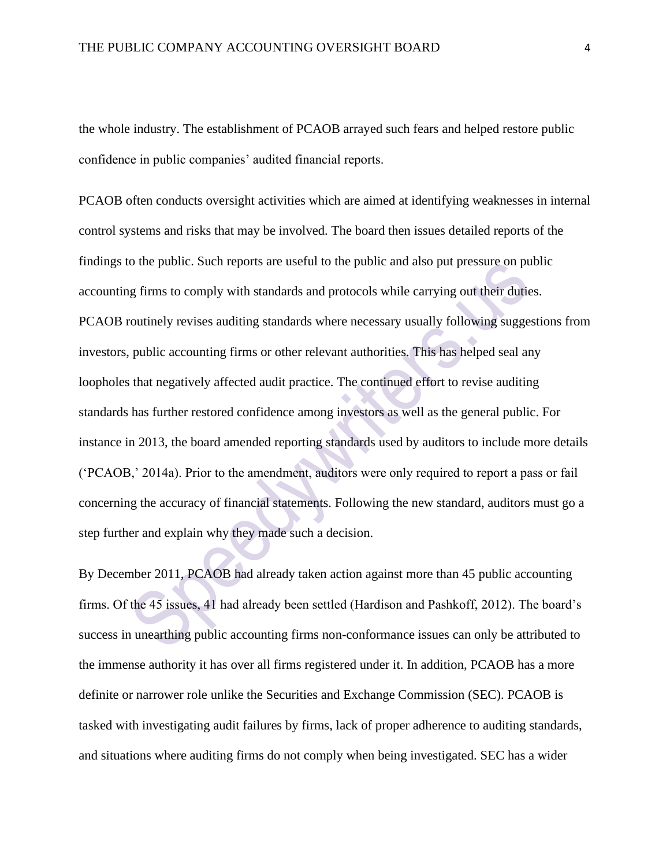the whole industry. The establishment of PCAOB arrayed such fears and helped restore public confidence in public companies' audited financial reports.

PCAOB often conducts oversight activities which are aimed at identifying weaknesses in internal control systems and risks that may be involved. The board then issues detailed reports of the findings to the public. Such reports are useful to the public and also put pressure on public accounting firms to comply with standards and protocols while carrying out their duties. PCAOB routinely revises auditing standards where necessary usually following suggestions from investors, public accounting firms or other relevant authorities. This has helped seal any loopholes that negatively affected audit practice. The continued effort to revise auditing standards has further restored confidence among investors as well as the general public. For instance in 2013, the board amended reporting standards used by auditors to include more details ('PCAOB,' 2014a). Prior to the amendment, auditors were only required to report a pass or fail concerning the accuracy of financial statements. Following the new standard, auditors must go a step further and explain why they made such a decision.

By December 2011, PCAOB had already taken action against more than 45 public accounting firms. Of the 45 issues, 41 had already been settled (Hardison and Pashkoff, 2012). The board's success in unearthing public accounting firms non-conformance issues can only be attributed to the immense authority it has over all firms registered under it. In addition, PCAOB has a more definite or narrower role unlike the Securities and Exchange Commission (SEC). PCAOB is tasked with investigating audit failures by firms, lack of proper adherence to auditing standards, and situations where auditing firms do not comply when being investigated. SEC has a wider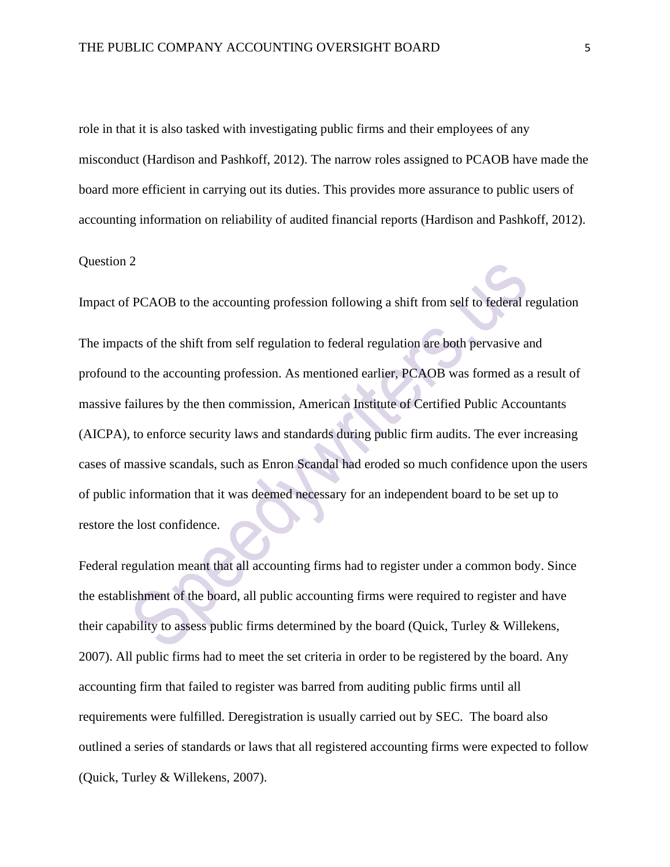role in that it is also tasked with investigating public firms and their employees of any misconduct (Hardison and Pashkoff, 2012). The narrow roles assigned to PCAOB have made the board more efficient in carrying out its duties. This provides more assurance to public users of accounting information on reliability of audited financial reports (Hardison and Pashkoff, 2012).

## Question 2

Impact of PCAOB to the accounting profession following a shift from self to federal regulation The impacts of the shift from self regulation to federal regulation are both pervasive and profound to the accounting profession. As mentioned earlier, PCAOB was formed as a result of massive failures by the then commission, American Institute of Certified Public Accountants (AICPA), to enforce security laws and standards during public firm audits. The ever increasing cases of massive scandals, such as Enron Scandal had eroded so much confidence upon the users of public information that it was deemed necessary for an independent board to be set up to restore the lost confidence.

Federal regulation meant that all accounting firms had to register under a common body. Since the establishment of the board, all public accounting firms were required to register and have their capability to assess public firms determined by the board (Quick, Turley & Willekens, 2007). All public firms had to meet the set criteria in order to be registered by the board. Any accounting firm that failed to register was barred from auditing public firms until all requirements were fulfilled. Deregistration is usually carried out by SEC. The board also outlined a series of standards or laws that all registered accounting firms were expected to follow (Quick, Turley & Willekens, 2007).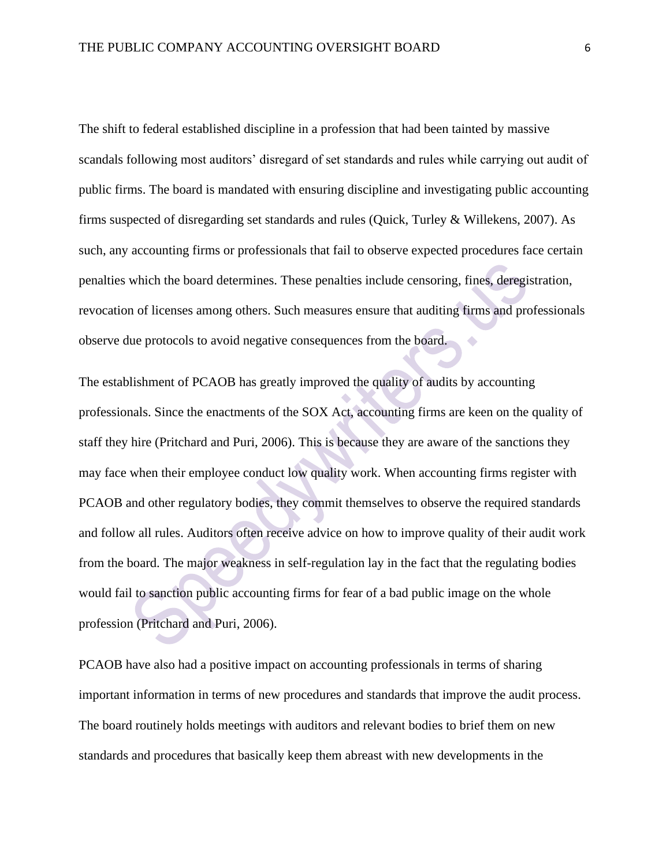The shift to federal established discipline in a profession that had been tainted by massive scandals following most auditors' disregard of set standards and rules while carrying out audit of public firms. The board is mandated with ensuring discipline and investigating public accounting firms suspected of disregarding set standards and rules (Quick, Turley & Willekens, 2007). As such, any accounting firms or professionals that fail to observe expected procedures face certain penalties which the board determines. These penalties include censoring, fines, deregistration, revocation of licenses among others. Such measures ensure that auditing firms and professionals observe due protocols to avoid negative consequences from the board.  $\blacktriangle$ 

The establishment of PCAOB has greatly improved the quality of audits by accounting professionals. Since the enactments of the SOX Act, accounting firms are keen on the quality of staff they hire (Pritchard and Puri, 2006). This is because they are aware of the sanctions they may face when their employee conduct low quality work. When accounting firms register with PCAOB and other regulatory bodies, they commit themselves to observe the required standards and follow all rules. Auditors often receive advice on how to improve quality of their audit work from the board. The major weakness in self-regulation lay in the fact that the regulating bodies would fail to sanction public accounting firms for fear of a bad public image on the whole profession (Pritchard and Puri, 2006).

PCAOB have also had a positive impact on accounting professionals in terms of sharing important information in terms of new procedures and standards that improve the audit process. The board routinely holds meetings with auditors and relevant bodies to brief them on new standards and procedures that basically keep them abreast with new developments in the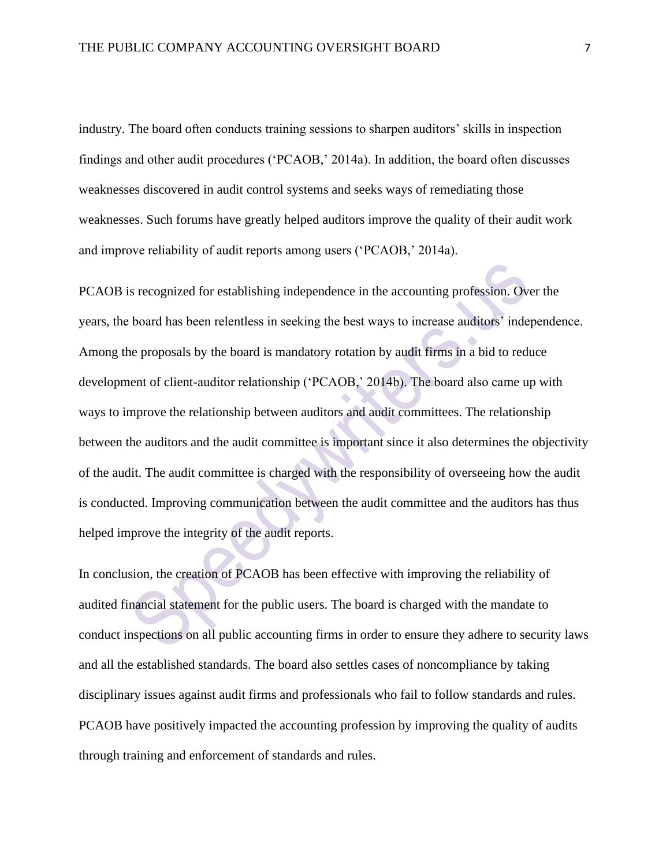industry. The board often conducts training sessions to sharpen auditors' skills in inspection findings and other audit procedures ('PCAOB,' 2014a). In addition, the board often discusses weaknesses discovered in audit control systems and seeks ways of remediating those weaknesses. Such forums have greatly helped auditors improve the quality of their audit work and improve reliability of audit reports among users ('PCAOB,' 2014a).

PCAOB is recognized for establishing independence in the accounting profession. Over the years, the board has been relentless in seeking the best ways to increase auditors' independence. Among the proposals by the board is mandatory rotation by audit firms in a bid to reduce development of client-auditor relationship ('PCAOB,' 2014b). The board also came up with ways to improve the relationship between auditors and audit committees. The relationship between the auditors and the audit committee is important since it also determines the objectivity of the audit. The audit committee is charged with the responsibility of overseeing how the audit is conducted. Improving communication between the audit committee and the auditors has thus helped improve the integrity of the audit reports.

In conclusion, the creation of PCAOB has been effective with improving the reliability of audited financial statement for the public users. The board is charged with the mandate to conduct inspections on all public accounting firms in order to ensure they adhere to security laws and all the established standards. The board also settles cases of noncompliance by taking disciplinary issues against audit firms and professionals who fail to follow standards and rules. PCAOB have positively impacted the accounting profession by improving the quality of audits through training and enforcement of standards and rules.